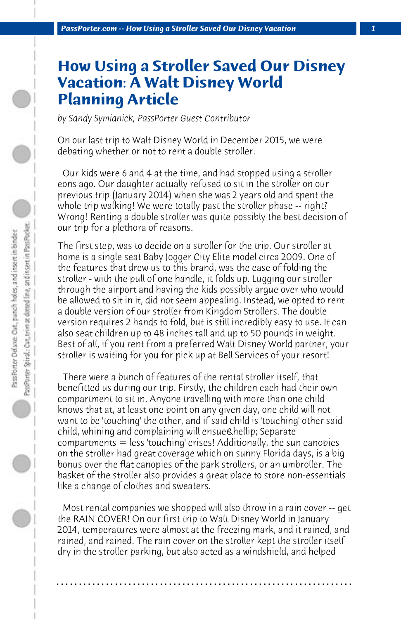## **How Using a Stroller Saved Our Disney Vacation: A Walt Disney World Planning Article**

*by Sandy Symianick, PassPorter Guest Contributor*

On our last trip to Walt Disney World in December 2015, we were debating whether or not to rent a double stroller.

 Our kids were 6 and 4 at the time, and had stopped using a stroller eons ago. Our daughter actually refused to sit in the stroller on our previous trip (January 2014) when she was 2 years old and spent the whole trip walking! We were totally past the stroller phase -- right? Wrong! Renting a double stroller was quite possibly the best decision of our trip for a plethora of reasons.

The first step, was to decide on a stroller for the trip. Our stroller at home is a single seat Baby Jogger City Elite model circa 2009. One of the features that drew us to this brand, was the ease of folding the stroller - with the pull of one handle, it folds up. Lugging our stroller through the airport and having the kids possibly argue over who would be allowed to sit in it, did not seem appealing. Instead, we opted to rent a double version of our stroller from Kingdom Strollers. The double version requires 2 hands to fold, but is still incredibly easy to use. It can also seat children up to 48 inches tall and up to 50 pounds in weight. Best of all, if you rent from a preferred Walt Disney World partner, your stroller is waiting for you for pick up at Bell Services of your resort!

 There were a bunch of features of the rental stroller itself, that benefitted us during our trip. Firstly, the children each had their own compartment to sit in. Anyone travelling with more than one child knows that at, at least one point on any given day, one child will not want to be 'touching' the other, and if said child is 'touching' other said child, whining and complaining will ensue Chellip; Separate compartments = less 'touching' crises! Additionally, the sun canopies on the stroller had great coverage which on sunny Florida days, is a big bonus over the flat canopies of the park strollers, or an umbroller. The basket of the stroller also provides a great place to store non-essentials like a change of clothes and sweaters.

 Most rental companies we shopped will also throw in a rain cover -- get the RAIN COVER! On our first trip to Walt Disney World in January 2014, temperatures were almost at the freezing mark, and it rained, and rained, and rained. The rain cover on the stroller kept the stroller itself dry in the stroller parking, but also acted as a windshield, and helped

**. . . . . . . . . . . . . . . . . . . . . . . . . . . . . . . . . . . . . . . . . . . . . . . . . . . . . . . . . . . . . . . . . .**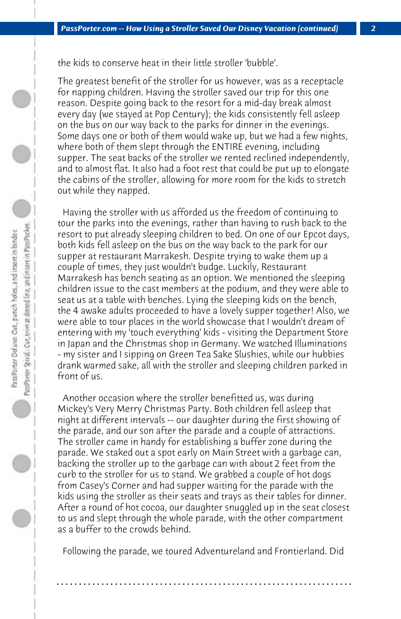the kids to conserve heat in their little stroller 'bubble'.

The greatest benefit of the stroller for us however, was as a receptacle for napping children. Having the stroller saved our trip for this one reason. Despite going back to the resort for a mid-day break almost every day (we stayed at Pop Century); the kids consistently fell asleep on the bus on our way back to the parks for dinner in the evenings. Some days one or both of them would wake up, but we had a few nights, where both of them slept through the ENTIRE evening, including supper. The seat backs of the stroller we rented reclined independently, and to almost flat. It also had a foot rest that could be put up to elongate the cabins of the stroller, allowing for more room for the kids to stretch out while they napped.

 Having the stroller with us afforded us the freedom of continuing to tour the parks into the evenings, rather than having to rush back to the resort to put already sleeping children to bed. On one of our Epcot days, both kids fell asleep on the bus on the way back to the park for our supper at restaurant Marrakesh. Despite trying to wake them up a couple of times, they just wouldn't budge. Luckily, Restaurant Marrakesh has bench seating as an option. We mentioned the sleeping children issue to the cast members at the podium, and they were able to seat us at a table with benches. Lying the sleeping kids on the bench, the 4 awake adults proceeded to have a lovely supper together! Also, we were able to tour places in the world showcase that I wouldn't dream of entering with my 'touch everything' kids - visiting the Department Store in Japan and the Christmas shop in Germany. We watched Illuminations - my sister and I sipping on Green Tea Sake Slushies, while our hubbies drank warmed sake, all with the stroller and sleeping children parked in front of us.

 Another occasion where the stroller benefitted us, was during Mickey's Very Merry Christmas Party. Both children fell asleep that night at different intervals -- our daughter during the first showing of the parade, and our son after the parade and a couple of attractions. The stroller came in handy for establishing a buffer zone during the parade. We staked out a spot early on Main Street with a garbage can, backing the stroller up to the garbage can with about 2 feet from the curb to the stroller for us to stand. We grabbed a couple of hot dogs from Casey's Corner and had supper waiting for the parade with the kids using the stroller as their seats and trays as their tables for dinner. After a round of hot cocoa, our daughter snuggled up in the seat closest to us and slept through the whole parade, with the other compartment as a buffer to the crowds behind.

 Following the parade, we toured Adventureland and Frontierland. Did

**. . . . . . . . . . . . . . . . . . . . . . . . . . . . . . . . . . . . . . . . . . . . . . . . . . . . . . . . . . . . . . . . . .**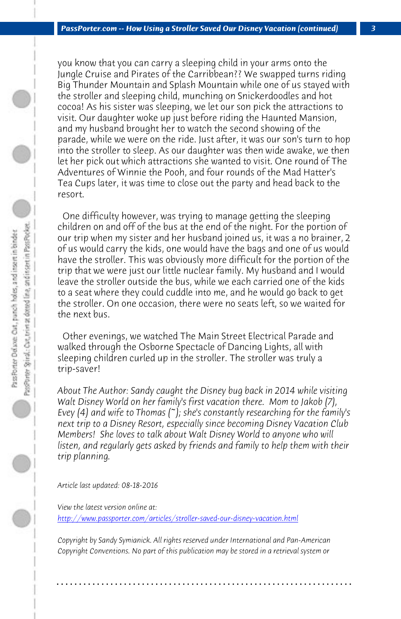*PassPorter.com -- How Using a Stroller Saved Our Disney Vacation (continued) 3*

you know that you can carry a sleeping child in your arms onto the Jungle Cruise and Pirates of the Carribbean?? We swapped turns riding Big Thunder Mountain and Splash Mountain while one of us stayed with the stroller and sleeping child, munching on Snickerdoodles and hot cocoa! As his sister was sleeping, we let our son pick the attractions to visit. Our daughter woke up just before riding the Haunted Mansion, and my husband brought her to watch the second showing of the parade, while we were on the ride. Just after, it was our son's turn to hop into the stroller to sleep. As our daughter was then wide awake, we then let her pick out which attractions she wanted to visit. One round of The Adventures of Winnie the Pooh, and four rounds of the Mad Hatter's Tea Cups later, it was time to close out the party and head back to the resort.

 One difficulty however, was trying to manage getting the sleeping children on and off of the bus at the end of the night. For the portion of our trip when my sister and her husband joined us, it was a no brainer, 2 of us would carry the kids, one would have the bags and one of us would have the stroller. This was obviously more difficult for the portion of the trip that we were just our little nuclear family. My husband and I would leave the stroller outside the bus, while we each carried one of the kids to a seat where they could cuddle into me, and he would go back to get the stroller. On one occasion, there were no seats left, so we waited for the next bus.

 [Other evenings, we watched The Main Street Electrical Par](http://www.passporter.com/articles/stroller-saved-our-disney-vacation.php)ade and walked through the Osborne Spectacle of Dancing Lights, all with sleeping children curled up in the stroller. The stroller was truly a trip-saver!

*About The Author: Sandy caught the Disney bug back in 2014 while visiting Walt Disney World on her family's first vacation there. Mom to Jakob (7), Evey (4) and wife to Thomas (~); she's constantly researching for the family's next trip to a Disney Resort, especially since becoming Disney Vacation Club Members! She loves to talk about Walt Disney World to anyone who will listen, and regularly gets asked by friends and family to help them with their trip planning.*

*Article last updated: 08-18-2016*

*View the latest version online at: http://www.passporter.com/articles/stroller-saved-our-disney-vacation.html*

*Copyright by Sandy Symianick. All rights reserved under International and Pan-American Copyright Conventions. No part of this publication may be stored in a retrieval system or*

**. . . . . . . . . . . . . . . . . . . . . . . . . . . . . . . . . . . . . . . . . . . . . . . . . . . . . . . . . . . . . . . . . .**